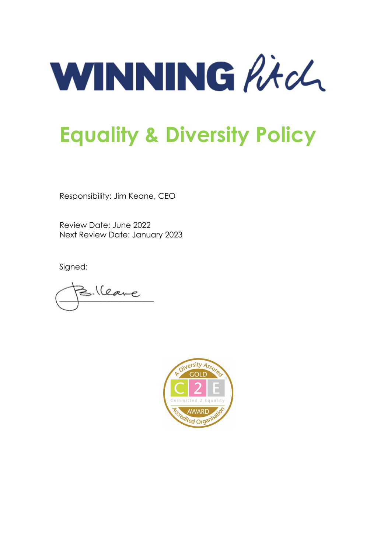WINNING Ritch

# **Equality & Diversity Policy**

Responsibility: Jim Keane, CEO

Review Date: June 2022 Next Review Date: January 2023

Signed:

**\_\_\_\_\_\_\_\_\_\_\_\_\_\_\_\_\_\_\_\_\_\_\_\_**

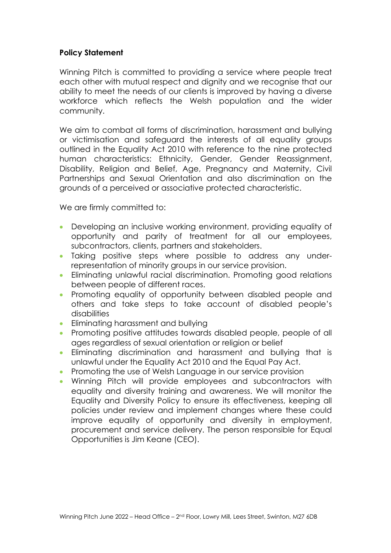## **Policy Statement**

Winning Pitch is committed to providing a service where people treat each other with mutual respect and dignity and we recognise that our ability to meet the needs of our clients is improved by having a diverse workforce which reflects the Welsh population and the wider community.

We aim to combat all forms of discrimination, harassment and bullying or victimisation and safeguard the interests of all equality groups outlined in the Equality Act 2010 with reference to the nine protected human characteristics: Ethnicity, Gender, Gender Reassignment, Disability, Religion and Belief, Age, Pregnancy and Maternity, Civil Partnerships and Sexual Orientation and also discrimination on the grounds of a perceived or associative protected characteristic.

We are firmly committed to:

- Developing an inclusive working environment, providing equality of opportunity and parity of treatment for all our employees, subcontractors, clients, partners and stakeholders.
- Taking positive steps where possible to address any underrepresentation of minority groups in our service provision.
- Eliminating unlawful racial discrimination. Promoting good relations between people of different races.
- Promoting equality of opportunity between disabled people and others and take steps to take account of disabled people's disabilities
- Eliminating harassment and bullying
- Promoting positive attitudes towards disabled people, people of all ages regardless of sexual orientation or religion or belief
- Eliminating discrimination and harassment and bullying that is unlawful under the Equality Act 2010 and the Equal Pay Act.
- Promoting the use of Welsh Language in our service provision
- Winning Pitch will provide employees and subcontractors with equality and diversity training and awareness. We will monitor the Equality and Diversity Policy to ensure its effectiveness, keeping all policies under review and implement changes where these could improve equality of opportunity and diversity in employment, procurement and service delivery. The person responsible for Equal Opportunities is Jim Keane (CEO).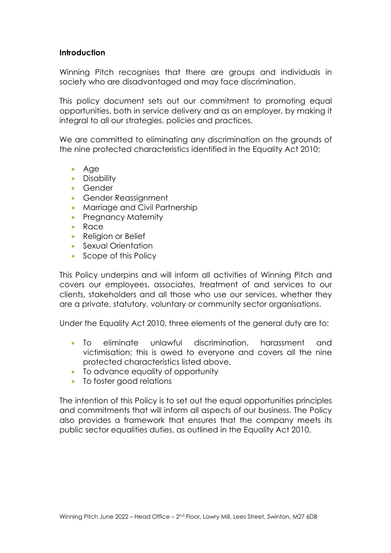## **Introduction**

Winning Pitch recognises that there are groups and individuals in society who are disadvantaged and may face discrimination.

This policy document sets out our commitment to promoting equal opportunities, both in service delivery and as an employer, by making it integral to all our strategies, policies and practices.

We are committed to eliminating any discrimination on the grounds of the nine protected characteristics identified in the Equality Act 2010;

- Age
- Disability
- Gender
- Gender Reassignment
- Marriage and Civil Partnership
- Pregnancy Maternity
- Race
- Religion or Belief
- Sexual Orientation
- Scope of this Policy

This Policy underpins and will inform all activities of Winning Pitch and covers our employees, associates, treatment of and services to our clients, stakeholders and all those who use our services, whether they are a private, statutory, voluntary or community sector organisations.

Under the Equality Act 2010, three elements of the general duty are to:

- To eliminate unlawful discrimination, harassment and victimisation; this is owed to everyone and covers all the nine protected characteristics listed above.
- To advance equality of opportunity
- To foster good relations

The intention of this Policy is to set out the equal opportunities principles and commitments that will inform all aspects of our business. The Policy also provides a framework that ensures that the company meets its public sector equalities duties, as outlined in the Equality Act 2010.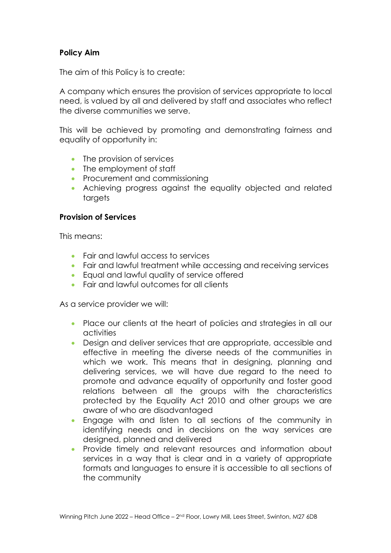# **Policy Aim**

The aim of this Policy is to create:

A company which ensures the provision of services appropriate to local need, is valued by all and delivered by staff and associates who reflect the diverse communities we serve.

This will be achieved by promoting and demonstrating fairness and equality of opportunity in:

- The provision of services
- The employment of staff
- Procurement and commissioning
- Achieving progress against the equality objected and related targets

#### **Provision of Services**

This means:

- Fair and lawful access to services
- Fair and lawful treatment while accessing and receiving services
- Equal and lawful quality of service offered
- Fair and lawful outcomes for all clients

As a service provider we will:

- Place our clients at the heart of policies and strategies in all our activities
- Design and deliver services that are appropriate, accessible and effective in meeting the diverse needs of the communities in which we work. This means that in designing, planning and delivering services, we will have due regard to the need to promote and advance equality of opportunity and foster good relations between all the groups with the characteristics protected by the Equality Act 2010 and other groups we are aware of who are disadvantaged
- Engage with and listen to all sections of the community in identifying needs and in decisions on the way services are designed, planned and delivered
- Provide timely and relevant resources and information about services in a way that is clear and in a variety of appropriate formats and languages to ensure it is accessible to all sections of the community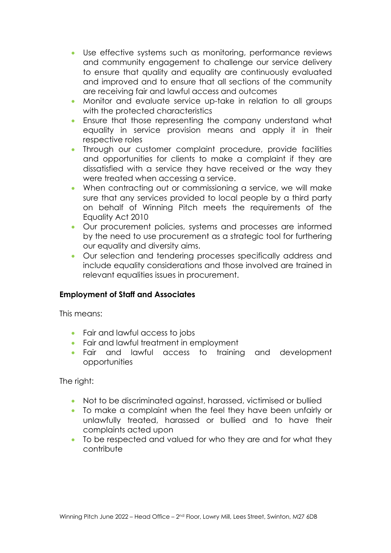- Use effective systems such as monitoring, performance reviews and community engagement to challenge our service delivery to ensure that quality and equality are continuously evaluated and improved and to ensure that all sections of the community are receiving fair and lawful access and outcomes
- Monitor and evaluate service up-take in relation to all groups with the protected characteristics
- Ensure that those representing the company understand what equality in service provision means and apply it in their respective roles
- Through our customer complaint procedure, provide facilities and opportunities for clients to make a complaint if they are dissatisfied with a service they have received or the way they were treated when accessing a service.
- When contracting out or commissioning a service, we will make sure that any services provided to local people by a third party on behalf of Winning Pitch meets the requirements of the Equality Act 2010
- Our procurement policies, systems and processes are informed by the need to use procurement as a strategic tool for furthering our equality and diversity aims.
- Our selection and tendering processes specifically address and include equality considerations and those involved are trained in relevant equalities issues in procurement.

# **Employment of Staff and Associates**

This means:

- Fair and lawful access to jobs
- Fair and lawful treatment in employment
- Fair and lawful access to training and development opportunities

The right:

- Not to be discriminated against, harassed, victimised or bullied
- To make a complaint when the feel they have been unfairly or unlawfully treated, harassed or bullied and to have their complaints acted upon
- To be respected and valued for who they are and for what they contribute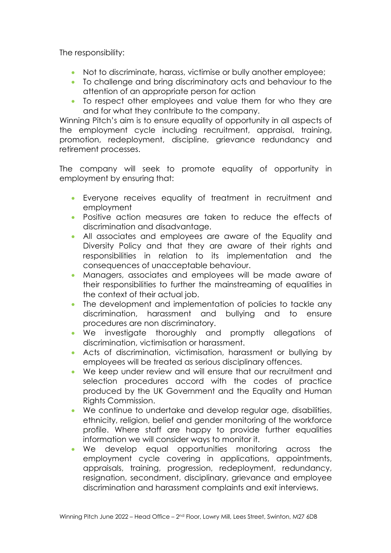The responsibility:

- Not to discriminate, harass, victimise or bully another employee;
- To challenge and bring discriminatory acts and behaviour to the attention of an appropriate person for action
- To respect other employees and value them for who they are and for what they contribute to the company.

Winning Pitch's aim is to ensure equality of opportunity in all aspects of the employment cycle including recruitment, appraisal, training, promotion, redeployment, discipline, grievance redundancy and retirement processes.

The company will seek to promote equality of opportunity in employment by ensuring that:

- Everyone receives equality of treatment in recruitment and employment
- Positive action measures are taken to reduce the effects of discrimination and disadvantage.
- All associates and employees are aware of the Equality and Diversity Policy and that they are aware of their rights and responsibilities in relation to its implementation and the consequences of unacceptable behaviour.
- Managers, associates and employees will be made aware of their responsibilities to further the mainstreaming of equalities in the context of their actual job.
- The development and implementation of policies to tackle any discrimination, harassment and bullying and to ensure procedures are non discriminatory.
- We investigate thoroughly and promptly allegations of discrimination, victimisation or harassment.
- Acts of discrimination, victimisation, harassment or bullying by employees will be treated as serious disciplinary offences.
- We keep under review and will ensure that our recruitment and selection procedures accord with the codes of practice produced by the UK Government and the Equality and Human Rights Commission.
- We continue to undertake and develop regular age, disabilities, ethnicity, religion, belief and gender monitoring of the workforce profile. Where staff are happy to provide further equalities information we will consider ways to monitor it.
- We develop equal opportunities monitoring across the employment cycle covering in applications, appointments, appraisals, training, progression, redeployment, redundancy, resignation, secondment, disciplinary, grievance and employee discrimination and harassment complaints and exit interviews.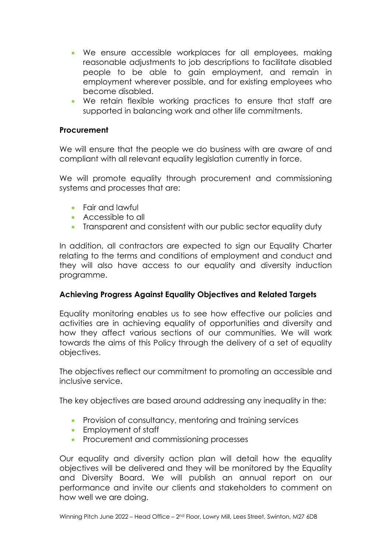- We ensure accessible workplaces for all employees, making reasonable adjustments to job descriptions to facilitate disabled people to be able to gain employment, and remain in employment wherever possible, and for existing employees who become disabled.
- We retain flexible working practices to ensure that staff are supported in balancing work and other life commitments.

#### **Procurement**

We will ensure that the people we do business with are aware of and compliant with all relevant equality legislation currently in force.

We will promote equality through procurement and commissioning systems and processes that are:

- Fair and lawful
- Accessible to all
- Transparent and consistent with our public sector equality duty

In addition, all contractors are expected to sign our Equality Charter relating to the terms and conditions of employment and conduct and they will also have access to our equality and diversity induction programme.

#### **Achieving Progress Against Equality Objectives and Related Targets**

Equality monitoring enables us to see how effective our policies and activities are in achieving equality of opportunities and diversity and how they affect various sections of our communities. We will work towards the aims of this Policy through the delivery of a set of equality objectives.

The objectives reflect our commitment to promoting an accessible and inclusive service.

The key objectives are based around addressing any inequality in the:

- Provision of consultancy, mentoring and training services
- Employment of staff
- Procurement and commissioning processes

Our equality and diversity action plan will detail how the equality objectives will be delivered and they will be monitored by the Equality and Diversity Board. We will publish an annual report on our performance and invite our clients and stakeholders to comment on how well we are doing.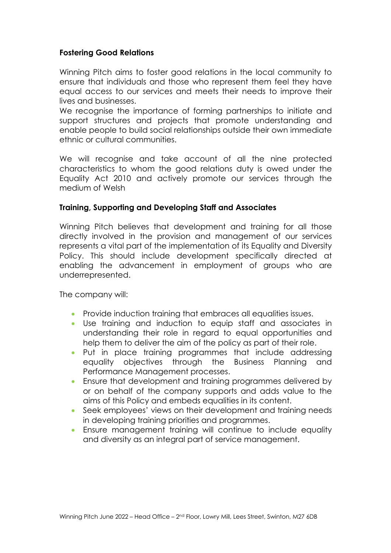## **Fostering Good Relations**

Winning Pitch aims to foster good relations in the local community to ensure that individuals and those who represent them feel they have equal access to our services and meets their needs to improve their lives and businesses.

We recognise the importance of forming partnerships to initiate and support structures and projects that promote understanding and enable people to build social relationships outside their own immediate ethnic or cultural communities.

We will recognise and take account of all the nine protected characteristics to whom the good relations duty is owed under the Equality Act 2010 and actively promote our services through the medium of Welsh

#### **Training, Supporting and Developing Staff and Associates**

Winning Pitch believes that development and training for all those directly involved in the provision and management of our services represents a vital part of the implementation of its Equality and Diversity Policy. This should include development specifically directed at enabling the advancement in employment of groups who are underrepresented.

The company will:

- Provide induction training that embraces all equalities issues.
- Use training and induction to equip staff and associates in understanding their role in regard to equal opportunities and help them to deliver the aim of the policy as part of their role.
- Put in place training programmes that include addressing equality objectives through the Business Planning and Performance Management processes.
- Ensure that development and training programmes delivered by or on behalf of the company supports and adds value to the aims of this Policy and embeds equalities in its content.
- Seek employees' views on their development and training needs in developing training priorities and programmes.
- Ensure management training will continue to include equality and diversity as an integral part of service management.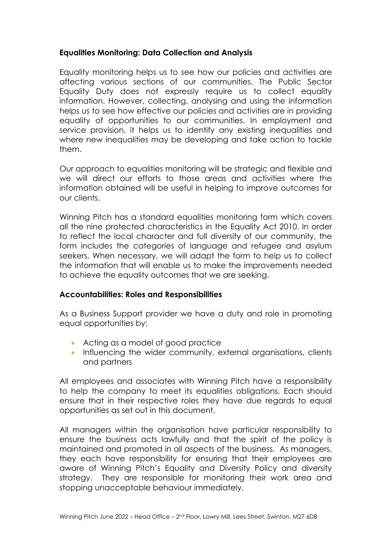# **Equalities Monitoring: Data Collection and Analysis**

Equality monitoring helps us to see how our policies and activities are affecting various sections of our communities. The Public Sector Equality Duty does not expressly require us to collect equality information. However, collecting, analysing and using the information helps us to see how effective our policies and activities are in providing equality of opportunities to our communities. In employment and service provision, it helps us to identify any existing inequalities and where new inequalities may be developing and take action to tackle them.

Our approach to equalities monitoring will be strategic and flexible and we will direct our efforts to those areas and activities where the information obtained will be useful in helping to improve outcomes for our clients.

Winning Pitch has a standard equalities monitoring form which covers all the nine protected characteristics in the Equality Act 2010. In order to reflect the local character and full diversity of our community, the form includes the categories of language and refugee and asylum seekers. When necessary, we will adapt the form to help us to collect the information that will enable us to make the improvements needed to achieve the equality outcomes that we are seeking.

## **Accountabilities: Roles and Responsibilities**

As a Business Support provider we have a duty and role in promoting equal opportunities by:

- Acting as a model of good practice
- Influencing the wider community, external organisations, clients and partners

All employees and associates with Winning Pitch have a responsibility to help the company to meet its equalities obligations. Each should ensure that in their respective roles they have due regards to equal opportunities as set out in this document.

All managers within the organisation have particular responsibility to ensure the business acts lawfully and that the spirit of the policy is maintained and promoted in all aspects of the business. As managers, they each have responsibility for ensuring that their employees are aware of Winning Pitch's Equality and Diversity Policy and diversity strategy. They are responsible for monitoring their work area and stopping unacceptable behaviour immediately.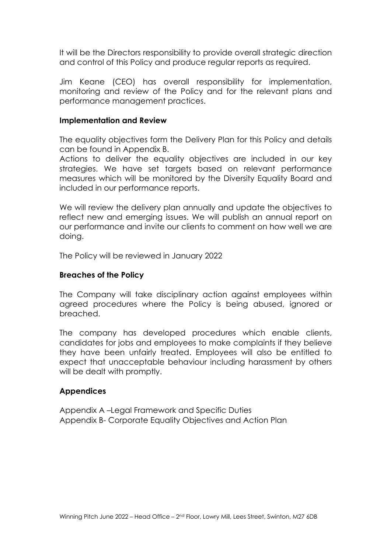It will be the Directors responsibility to provide overall strategic direction and control of this Policy and produce regular reports as required.

Jim Keane (CEO) has overall responsibility for implementation, monitoring and review of the Policy and for the relevant plans and performance management practices.

#### **Implementation and Review**

The equality objectives form the Delivery Plan for this Policy and details can be found in Appendix B.

Actions to deliver the equality objectives are included in our key strategies. We have set targets based on relevant performance measures which will be monitored by the Diversity Equality Board and included in our performance reports.

We will review the delivery plan annually and update the objectives to reflect new and emerging issues. We will publish an annual report on our performance and invite our clients to comment on how well we are doing.

The Policy will be reviewed in January 2022

#### **Breaches of the Policy**

The Company will take disciplinary action against employees within agreed procedures where the Policy is being abused, ignored or breached.

The company has developed procedures which enable clients, candidates for jobs and employees to make complaints if they believe they have been unfairly treated. Employees will also be entitled to expect that unacceptable behaviour including harassment by others will be dealt with promptly.

#### **Appendices**

Appendix A –Legal Framework and Specific Duties Appendix B- Corporate Equality Objectives and Action Plan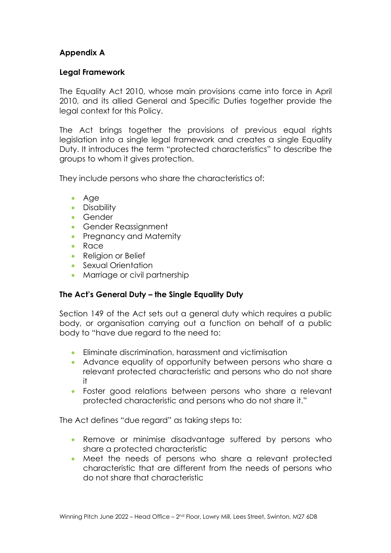# **Appendix A**

## **Legal Framework**

The Equality Act 2010, whose main provisions came into force in April 2010, and its allied General and Specific Duties together provide the legal context for this Policy.

The Act brings together the provisions of previous equal rights legislation into a single legal framework and creates a single Equality Duty. It introduces the term "protected characteristics" to describe the groups to whom it gives protection.

They include persons who share the characteristics of:

- Age
- Disability
- Gender
- Gender Reassignment
- Pregnancy and Maternity
- Race
- Religion or Belief
- Sexual Orientation
- Marriage or civil partnership

## **The Act's General Duty – the Single Equality Duty**

Section 149 of the Act sets out a general duty which requires a public body, or organisation carrying out a function on behalf of a public body to "have due regard to the need to:

- Eliminate discrimination, harassment and victimisation
- Advance equality of opportunity between persons who share a relevant protected characteristic and persons who do not share it
- Foster good relations between persons who share a relevant protected characteristic and persons who do not share it."

The Act defines "due regard" as taking steps to:

- Remove or minimise disadvantage suffered by persons who share a protected characteristic
- Meet the needs of persons who share a relevant protected characteristic that are different from the needs of persons who do not share that characteristic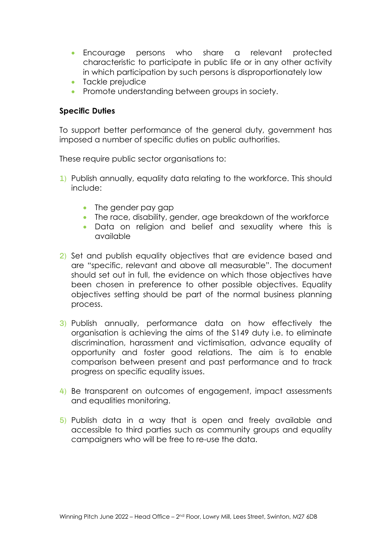- Encourage persons who share a relevant protected characteristic to participate in public life or in any other activity in which participation by such persons is disproportionately low
- Tackle prejudice
- Promote understanding between groups in society.

# **Specific Duties**

To support better performance of the general duty, government has imposed a number of specific duties on public authorities.

These require public sector organisations to:

- 1) Publish annually, equality data relating to the workforce. This should include:
	- The gender pay gap
	- The race, disability, gender, age breakdown of the workforce
	- Data on religion and belief and sexuality where this is available
- 2) Set and publish equality objectives that are evidence based and are "specific, relevant and above all measurable". The document should set out in full, the evidence on which those objectives have been chosen in preference to other possible objectives. Equality objectives setting should be part of the normal business planning process.
- 3) Publish annually, performance data on how effectively the organisation is achieving the aims of the S149 duty i.e. to eliminate discrimination, harassment and victimisation, advance equality of opportunity and foster good relations. The aim is to enable comparison between present and past performance and to track progress on specific equality issues.
- 4) Be transparent on outcomes of engagement, impact assessments and equalities monitoring.
- 5) Publish data in a way that is open and freely available and accessible to third parties such as community groups and equality campaigners who will be free to re-use the data.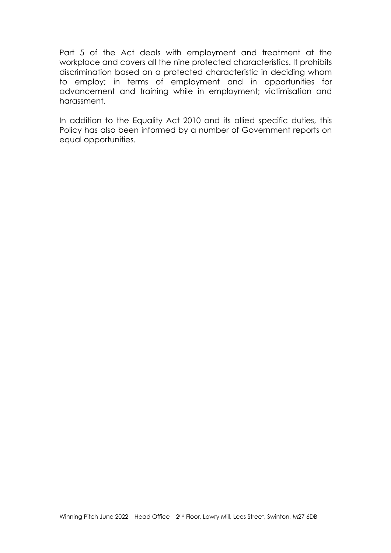Part 5 of the Act deals with employment and treatment at the workplace and covers all the nine protected characteristics. It prohibits discrimination based on a protected characteristic in deciding whom to employ; in terms of employment and in opportunities for advancement and training while in employment; victimisation and harassment.

In addition to the Equality Act 2010 and its allied specific duties, this Policy has also been informed by a number of Government reports on equal opportunities.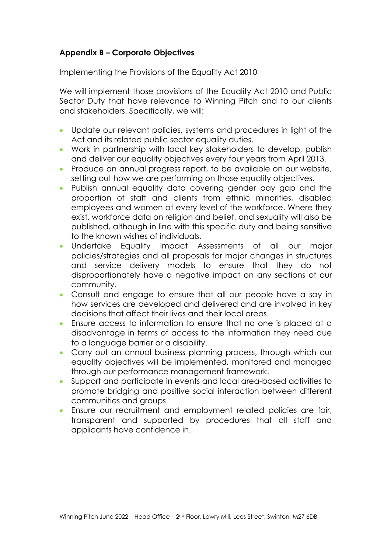# **Appendix B – Corporate Objectives**

Implementing the Provisions of the Equality Act 2010

We will implement those provisions of the Equality Act 2010 and Public Sector Duty that have relevance to Winning Pitch and to our clients and stakeholders. Specifically, we will:

- Update our relevant policies, systems and procedures in light of the Act and its related public sector equality duties.
- Work in partnership with local key stakeholders to develop, publish and deliver our equality objectives every four years from April 2013.
- Produce an annual progress report, to be available on our website, setting out how we are performing on those equality objectives.
- Publish annual equality data covering gender pay gap and the proportion of staff and clients from ethnic minorities, disabled employees and women at every level of the workforce. Where they exist, workforce data on religion and belief, and sexuality will also be published, although in line with this specific duty and being sensitive to the known wishes of individuals.
- Undertake Equality Impact Assessments of all our major policies/strategies and all proposals for major changes in structures and service delivery models to ensure that they do not disproportionately have a negative impact on any sections of our community.
- Consult and engage to ensure that all our people have a say in how services are developed and delivered and are involved in key decisions that affect their lives and their local areas.
- Ensure access to information to ensure that no one is placed at a disadvantage in terms of access to the information they need due to a language barrier or a disability.
- Carry out an annual business planning process, through which our equality objectives will be implemented, monitored and managed through our performance management framework.
- Support and participate in events and local area-based activities to promote bridging and positive social interaction between different communities and groups.
- Ensure our recruitment and employment related policies are fair, transparent and supported by procedures that all staff and applicants have confidence in.